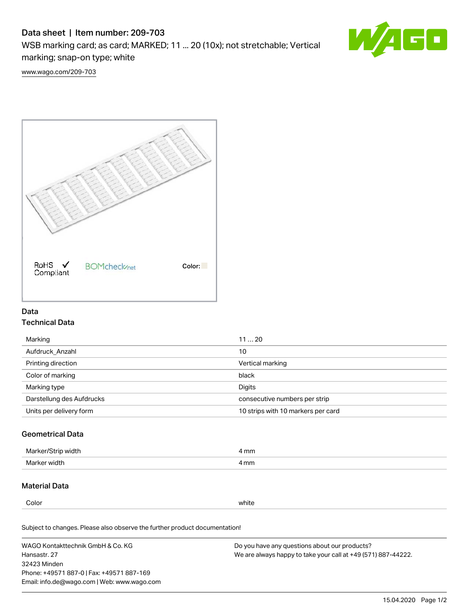# Data sheet | Item number: 209-703

WSB marking card; as card; MARKED; 11 ... 20 (10x); not stretchable; Vertical marking; snap-on type; white



[www.wago.com/209-703](http://www.wago.com/209-703)



### Data Technical Data

| Marking                   | 1120                               |
|---------------------------|------------------------------------|
| Aufdruck Anzahl           | 10                                 |
| Printing direction        | Vertical marking                   |
| Color of marking          | black                              |
| Marking type              | Digits                             |
| Darstellung des Aufdrucks | consecutive numbers per strip      |
| Units per delivery form   | 10 strips with 10 markers per card |

## Geometrical Data

| Marker<br>∘width. | l mm |
|-------------------|------|
| Marker width      | 4 mm |

### Material Data

Color white

Subject to changes. Please also observe the further product documentation!

WAGO Kontakttechnik GmbH & Co. KG Hansastr. 27 32423 Minden Phone: +49571 887-0 | Fax: +49571 887-169 Email: info.de@wago.com | Web: www.wago.com Do you have any questions about our products? We are always happy to take your call at +49 (571) 887-44222.